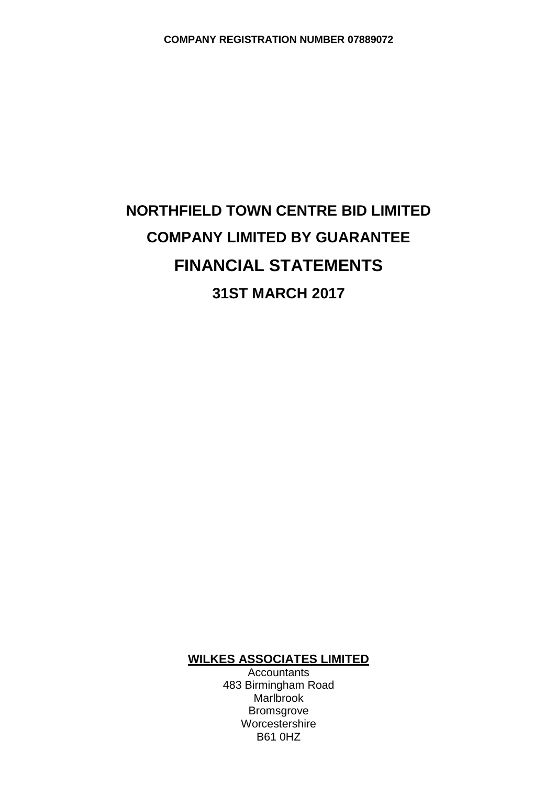# **NORTHFIELD TOWN CENTRE BID LIMITED COMPANY LIMITED BY GUARANTEE FINANCIAL STATEMENTS 31ST MARCH 2017**

# **WILKES ASSOCIATES LIMITED**

**Accountants** 483 Birmingham Road Marlbrook Bromsgrove Worcestershire B61 0HZ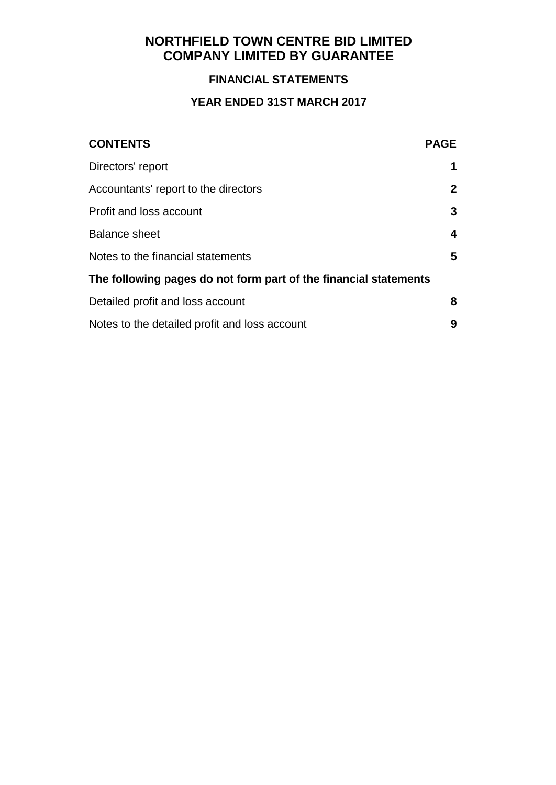# **FINANCIAL STATEMENTS**

# **YEAR ENDED 31ST MARCH 2017**

| <b>CONTENTS</b>                                                  | <b>PAGE</b>  |
|------------------------------------------------------------------|--------------|
| Directors' report                                                | 1            |
| Accountants' report to the directors                             | $\mathbf{2}$ |
| Profit and loss account                                          | 3            |
| <b>Balance sheet</b>                                             | 4            |
| Notes to the financial statements                                | 5            |
| The following pages do not form part of the financial statements |              |
| Detailed profit and loss account                                 | 8            |
| Notes to the detailed profit and loss account                    | 9            |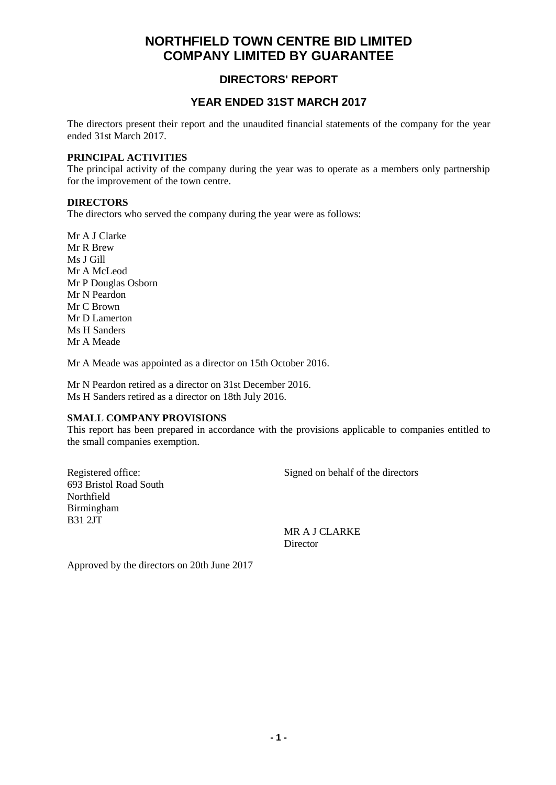## **DIRECTORS' REPORT**

### **YEAR ENDED 31ST MARCH 2017**

The directors present their report and the unaudited financial statements of the company for the year ended 31st March 2017.

#### **PRINCIPAL ACTIVITIES**

The principal activity of the company during the year was to operate as a members only partnership for the improvement of the town centre.

#### **DIRECTORS**

The directors who served the company during the year were as follows:

Mr A J Clarke Mr R Brew Ms J Gill Mr A McLeod Mr P Douglas Osborn Mr N Peardon Mr C Brown Mr D Lamerton Ms H Sanders Mr A Meade

Mr A Meade was appointed as a director on 15th October 2016.

Mr N Peardon retired as a director on 31st December 2016. Ms H Sanders retired as a director on 18th July 2016.

#### **SMALL COMPANY PROVISIONS**

This report has been prepared in accordance with the provisions applicable to companies entitled to the small companies exemption.

693 Bristol Road South Northfield Birmingham B31 2JT

Registered office: Signed on behalf of the directors

MR A J CLARKE **Director** 

Approved by the directors on 20th June 2017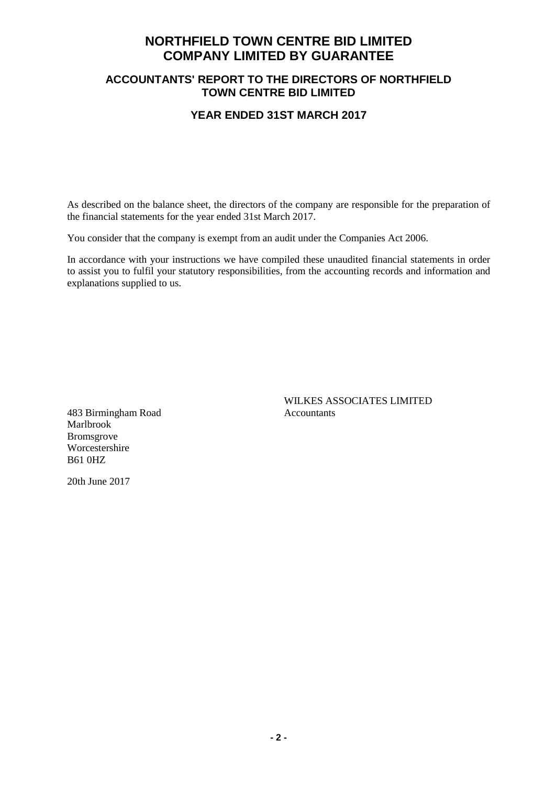### **ACCOUNTANTS' REPORT TO THE DIRECTORS OF NORTHFIELD TOWN CENTRE BID LIMITED**

#### **YEAR ENDED 31ST MARCH 2017**

As described on the balance sheet, the directors of the company are responsible for the preparation of the financial statements for the year ended 31st March 2017.

You consider that the company is exempt from an audit under the Companies Act 2006.

In accordance with your instructions we have compiled these unaudited financial statements in order to assist you to fulfil your statutory responsibilities, from the accounting records and information and explanations supplied to us.

483 Birmingham Road Accountants Marlbrook Bromsgrove Worcestershire B61 0HZ

WILKES ASSOCIATES LIMITED

20th June 2017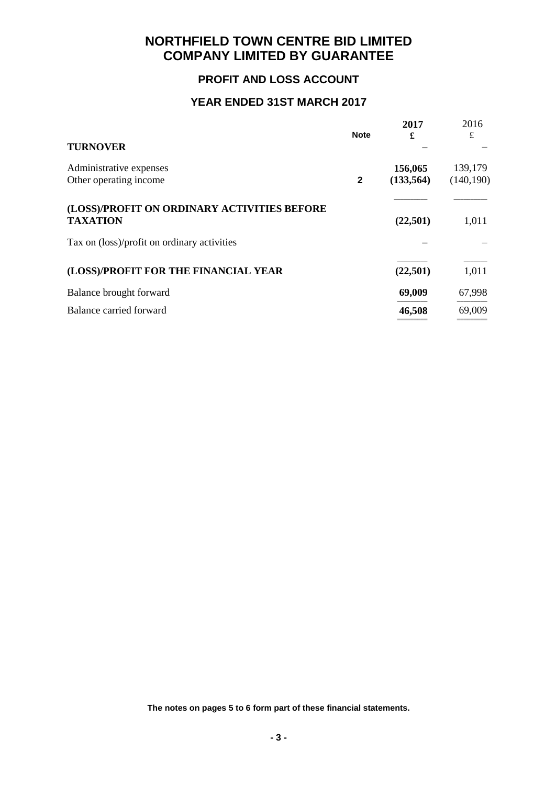## **PROFIT AND LOSS ACCOUNT**

### **YEAR ENDED 31ST MARCH 2017**

|                                                                | <b>Note</b>  | 2017<br>£  | 2016<br>£  |
|----------------------------------------------------------------|--------------|------------|------------|
| <b>TURNOVER</b>                                                |              |            |            |
| Administrative expenses                                        |              | 156,065    | 139,179    |
| Other operating income                                         | $\mathbf{2}$ | (133, 564) | (140, 190) |
| (LOSS)/PROFIT ON ORDINARY ACTIVITIES BEFORE<br><b>TAXATION</b> |              | (22,501)   | 1,011      |
| Tax on (loss)/profit on ordinary activities                    |              |            |            |
| (LOSS)/PROFIT FOR THE FINANCIAL YEAR                           |              | (22, 501)  | 1,011      |
| Balance brought forward                                        |              | 69,009     | 67,998     |
| Balance carried forward                                        |              | 46,508     | 69,009     |
|                                                                |              |            |            |

**The notes on pages 5 to 6 form part of these financial statements.**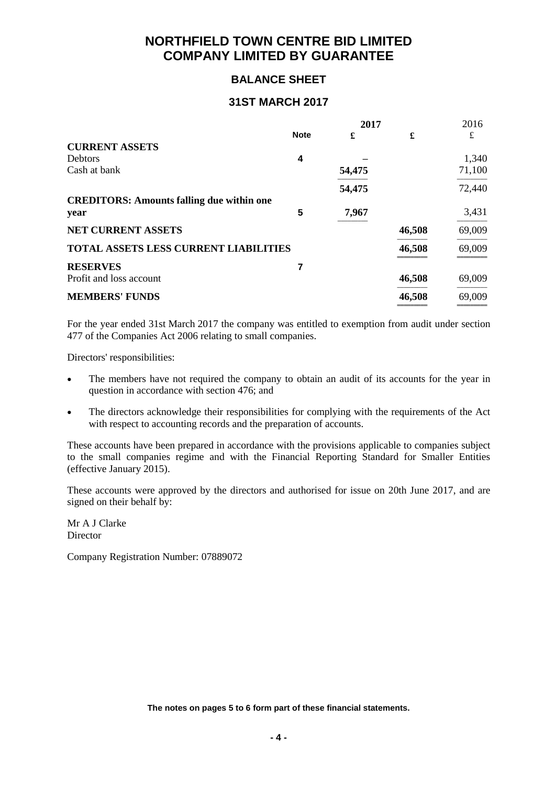### **BALANCE SHEET**

#### **31ST MARCH 2017**

|                                                  | 2017        |        |        | 2016   |
|--------------------------------------------------|-------------|--------|--------|--------|
|                                                  | <b>Note</b> | £      | £      | £      |
| <b>CURRENT ASSETS</b>                            |             |        |        |        |
| <b>Debtors</b>                                   | 4           |        |        | 1,340  |
| Cash at bank                                     |             | 54,475 |        | 71,100 |
|                                                  |             | 54,475 |        | 72,440 |
| <b>CREDITORS: Amounts falling due within one</b> |             |        |        |        |
| year                                             | 5           | 7,967  |        | 3,431  |
| <b>NET CURRENT ASSETS</b>                        |             |        | 46,508 | 69,009 |
| <b>TOTAL ASSETS LESS CURRENT LIABILITIES</b>     |             |        | 46,508 | 69,009 |
| <b>RESERVES</b>                                  |             |        |        |        |
| Profit and loss account                          |             |        | 46,508 | 69,009 |
| <b>MEMBERS' FUNDS</b>                            |             |        | 46,508 | 69,009 |
|                                                  |             |        |        |        |

For the year ended 31st March 2017 the company was entitled to exemption from audit under section 477 of the Companies Act 2006 relating to small companies.

Directors' responsibilities:

- The members have not required the company to obtain an audit of its accounts for the year in question in accordance with section 476; and
- The directors acknowledge their responsibilities for complying with the requirements of the Act with respect to accounting records and the preparation of accounts.

These accounts have been prepared in accordance with the provisions applicable to companies subject to the small companies regime and with the Financial Reporting Standard for Smaller Entities (effective January 2015).

These accounts were approved by the directors and authorised for issue on 20th June 2017, and are signed on their behalf by:

Mr A J Clarke Director

Company Registration Number: 07889072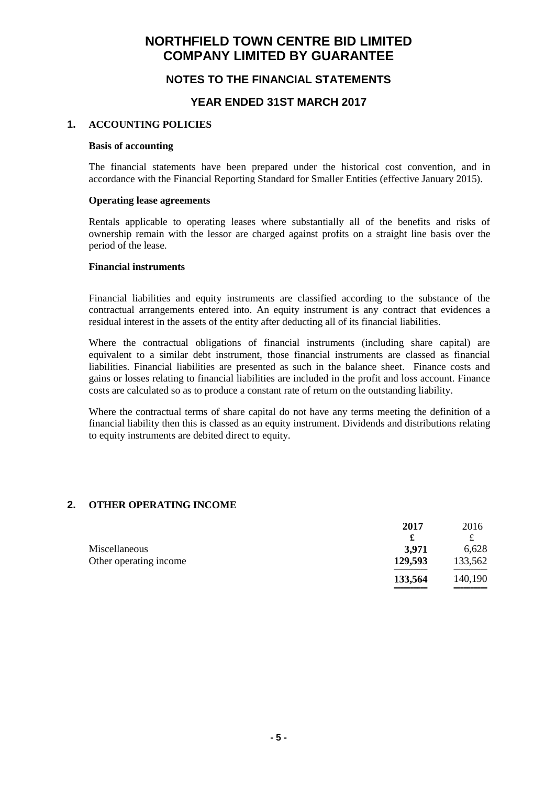### **NOTES TO THE FINANCIAL STATEMENTS**

#### **YEAR ENDED 31ST MARCH 2017**

#### **1. ACCOUNTING POLICIES**

#### **Basis of accounting**

The financial statements have been prepared under the historical cost convention, and in accordance with the Financial Reporting Standard for Smaller Entities (effective January 2015).

#### **Operating lease agreements**

Rentals applicable to operating leases where substantially all of the benefits and risks of ownership remain with the lessor are charged against profits on a straight line basis over the period of the lease.

#### **Financial instruments**

Financial liabilities and equity instruments are classified according to the substance of the contractual arrangements entered into. An equity instrument is any contract that evidences a residual interest in the assets of the entity after deducting all of its financial liabilities.

Where the contractual obligations of financial instruments (including share capital) are equivalent to a similar debt instrument, those financial instruments are classed as financial liabilities. Financial liabilities are presented as such in the balance sheet. Finance costs and gains or losses relating to financial liabilities are included in the profit and loss account. Finance costs are calculated so as to produce a constant rate of return on the outstanding liability.

Where the contractual terms of share capital do not have any terms meeting the definition of a financial liability then this is classed as an equity instrument. Dividends and distributions relating to equity instruments are debited direct to equity.

#### **2. OTHER OPERATING INCOME**

| 2017    | 2016    |
|---------|---------|
| £       |         |
| 3,971   | 6,628   |
| 129,593 | 133,562 |
| 133,564 | 140,190 |
|         |         |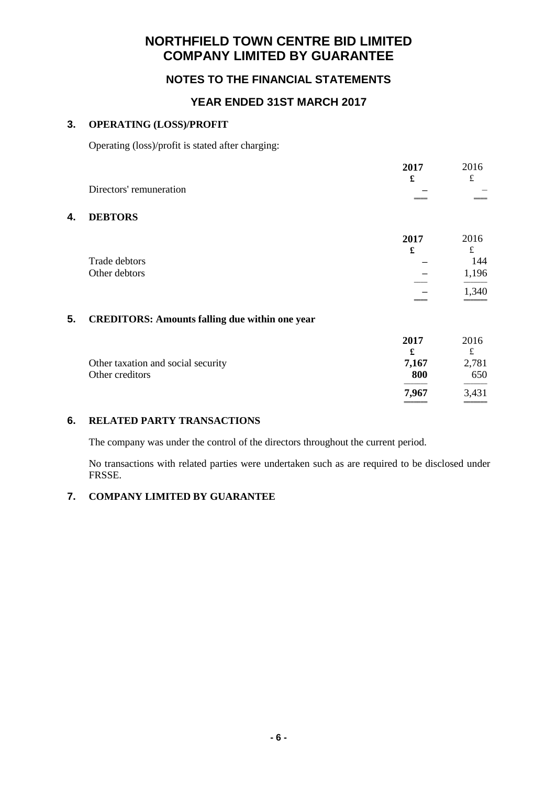### **NOTES TO THE FINANCIAL STATEMENTS**

### **YEAR ENDED 31ST MARCH 2017**

#### **3. OPERATING (LOSS)/PROFIT**

Operating (loss)/profit is stated after charging:

|    |                                                       | 2017  | 2016      |
|----|-------------------------------------------------------|-------|-----------|
|    |                                                       | £     | £         |
|    | Directors' remuneration                               |       |           |
| 4. | <b>DEBTORS</b>                                        |       |           |
|    |                                                       | 2017  | 2016      |
|    |                                                       | £     | $\pounds$ |
|    | Trade debtors                                         |       | 144       |
|    | Other debtors                                         |       | 1,196     |
|    |                                                       |       | 1,340     |
|    |                                                       |       |           |
| 5. | <b>CREDITORS: Amounts falling due within one year</b> |       |           |
|    |                                                       | 2017  | 2016      |
|    |                                                       | £     | $\pounds$ |
|    | Other taxation and social security                    | 7,167 | 2,781     |
|    | Other creditors                                       | 800   | 650       |
|    |                                                       | 7,967 | 3,431     |
|    |                                                       |       |           |

#### **6. RELATED PARTY TRANSACTIONS**

The company was under the control of the directors throughout the current period.

No transactions with related parties were undertaken such as are required to be disclosed under FRSSE.

### **7. COMPANY LIMITED BY GUARANTEE**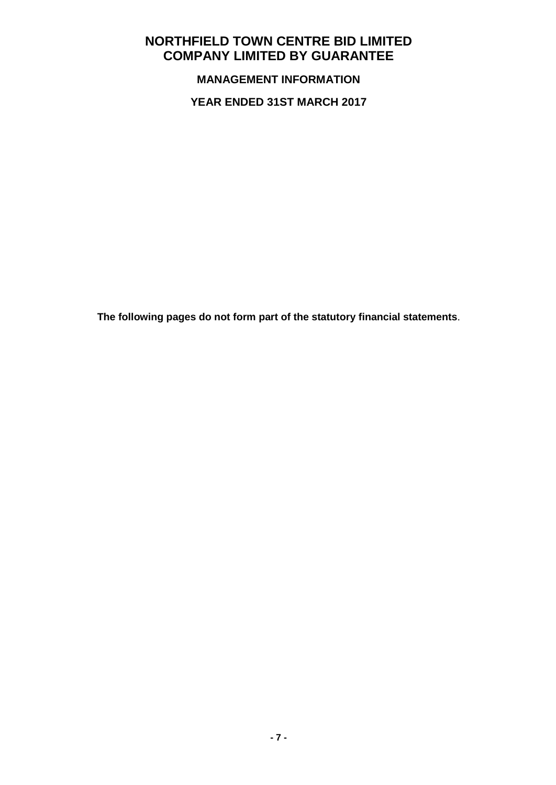**MANAGEMENT INFORMATION**

**YEAR ENDED 31ST MARCH 2017**

**The following pages do not form part of the statutory financial statements**.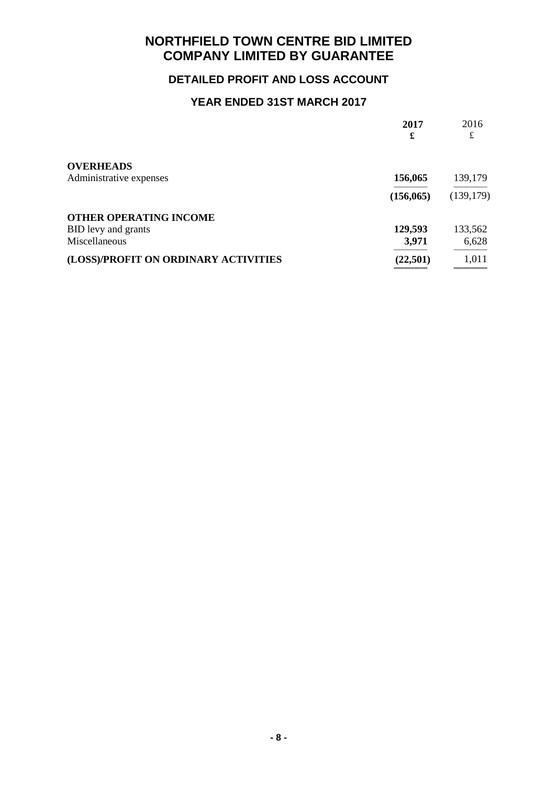# **DETAILED PROFIT AND LOSS ACCOUNT**

# **YEAR ENDED 31ST MARCH 2017**

|                                      | 2017<br>£  | 2016<br>£  |
|--------------------------------------|------------|------------|
| <b>OVERHEADS</b>                     |            |            |
| Administrative expenses              | 156,065    | 139,179    |
|                                      | (156, 065) | (139, 179) |
| <b>OTHER OPERATING INCOME</b>        |            |            |
| BID levy and grants                  | 129,593    | 133,562    |
| Miscellaneous                        | 3,971      | 6,628      |
| (LOSS)/PROFIT ON ORDINARY ACTIVITIES | (22, 501)  | 1,011      |